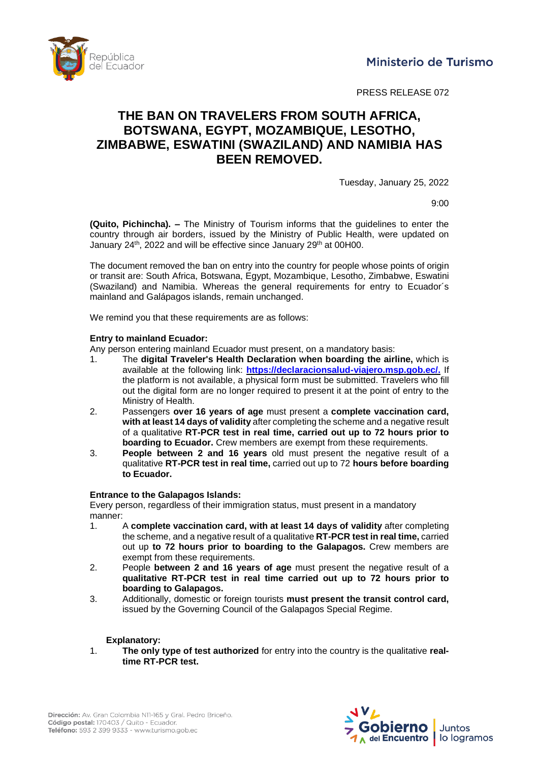epública del Ecuador

PRESS RELEASE 072

# **THE BAN ON TRAVELERS FROM SOUTH AFRICA, BOTSWANA, EGYPT, MOZAMBIQUE, LESOTHO, ZIMBABWE, ESWATINI (SWAZILAND) AND NAMIBIA HAS BEEN REMOVED.**

Tuesday, January 25, 2022

9:00

**(Quito, Pichincha). –** The Ministry of Tourism informs that the guidelines to enter the country through air borders, issued by the Ministry of Public Health, were updated on January 24<sup>th</sup>, 2022 and will be effective since January 29<sup>th</sup> at 00H00.

The document removed the ban on entry into the country for people whose points of origin or transit are: South Africa, Botswana, Egypt, Mozambique, Lesotho, Zimbabwe, Eswatini (Swaziland) and Namibia. Whereas the general requirements for entry to Ecuador´s mainland and Galápagos islands, remain unchanged.

We remind you that these requirements are as follows:

### **Entry to mainland Ecuador:**

Any person entering mainland Ecuador must present, on a mandatory basis:

- 1. The **digital Traveler's Health Declaration when boarding the airline,** which is available at the following link: **[https://declaracionsalud-viajero.msp.gob.ec/.](https://declaracionsalud-viajero.msp.gob.ec/)** If the platform is not available, a physical form must be submitted. Travelers who fill out the digital form are no longer required to present it at the point of entry to the Ministry of Health.
- 2. Passengers **over 16 years of age** must present a **complete vaccination card, with at least14 days of validity**after completingtheschemeanda negative result of a qualitative **RT-PCR test in real time, carried out up to 72 hours prior to boarding to Ecuador.** Crew members are exempt from these requirements.
- 3. **People between 2 and 16 years** old must present the negative result of a qualitative **RT-PCR test in real time,** carried out up to 72 **hours before boarding to Ecuador.**

### **Entrance to the Galapagos Islands:**

Every person, regardless of their immigration status, must present in a mandatory manner:

- 1. A **complete vaccination card, with at least 14 days of validity** after completing thescheme, and a negativeresult ofa qualitative **RT-PCR test in real time,** carried out up **to 72 hours prior to boarding to the Galapagos.** Crew members are exempt from these requirements.
- 2. People **between 2 and 16 years of age** must present the negative result of a **qualitative RT-PCR test in real time carried out up to 72 hours prior to boarding to Galapagos.**
- 3. Additionally, domestic or foreign tourists **must present the transit control card,** issued by the Governing Council of the Galapagos Special Regime.

### **Explanatory:**

1. **The only type of test authorized** for entry into the country is the qualitative **realtime RT-PCR test.**